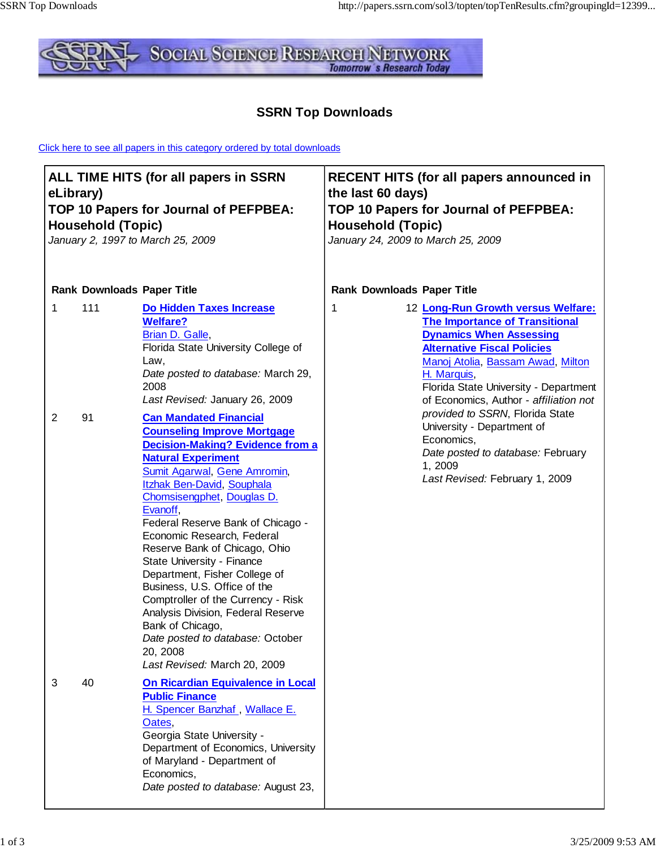

## **SSRN Top Downloads**

Click here to see all papers in this category ordered by total downloads

| eLibrary) | <b>Household (Topic)</b>          | ALL TIME HITS (for all papers in SSRN<br>TOP 10 Papers for Journal of PEFPBEA:<br>January 2, 1997 to March 25, 2009                                                                                                                                                                                                                                                                                                                                                                                                                                                                                                                    | <b>RECENT HITS (for all papers announced in</b><br>the last 60 days)<br>TOP 10 Papers for Journal of PEFPBEA:<br><b>Household (Topic)</b><br>January 24, 2009 to March 25, 2009                                                                                                                 |
|-----------|-----------------------------------|----------------------------------------------------------------------------------------------------------------------------------------------------------------------------------------------------------------------------------------------------------------------------------------------------------------------------------------------------------------------------------------------------------------------------------------------------------------------------------------------------------------------------------------------------------------------------------------------------------------------------------------|-------------------------------------------------------------------------------------------------------------------------------------------------------------------------------------------------------------------------------------------------------------------------------------------------|
|           | <b>Rank Downloads Paper Title</b> |                                                                                                                                                                                                                                                                                                                                                                                                                                                                                                                                                                                                                                        | <b>Rank Downloads Paper Title</b>                                                                                                                                                                                                                                                               |
| 1         | 111                               | Do Hidden Taxes Increase<br><b>Welfare?</b><br>Brian D. Galle,<br>Florida State University College of<br>Law,<br>Date posted to database: March 29,<br>2008<br>Last Revised: January 26, 2009                                                                                                                                                                                                                                                                                                                                                                                                                                          | 12 Long-Run Growth versus Welfare:<br>1<br><b>The Importance of Transitional</b><br><b>Dynamics When Assessing</b><br><b>Alternative Fiscal Policies</b><br>Manoj Atolia, Bassam Awad, Milton<br>H. Marquis,<br>Florida State University - Department<br>of Economics, Author - affiliation not |
| 2         | 91                                | <b>Can Mandated Financial</b><br><b>Counseling Improve Mortgage</b><br><b>Decision-Making? Evidence from a</b><br><b>Natural Experiment</b><br>Sumit Agarwal, Gene Amromin,<br>Itzhak Ben-David, Souphala<br>Chomsisengphet, Douglas D.<br>Evanoff,<br>Federal Reserve Bank of Chicago -<br>Economic Research, Federal<br>Reserve Bank of Chicago, Ohio<br>State University - Finance<br>Department, Fisher College of<br>Business, U.S. Office of the<br>Comptroller of the Currency - Risk<br>Analysis Division, Federal Reserve<br>Bank of Chicago,<br>Date posted to database: October<br>20, 2008<br>Last Revised: March 20, 2009 | provided to SSRN, Florida State<br>University - Department of<br>Economics,<br>Date posted to database: February<br>1,2009<br>Last Revised: February 1, 2009                                                                                                                                    |
| 3         | 40                                | On Ricardian Equivalence in Local<br><b>Public Finance</b><br>H. Spencer Banzhaf, Wallace E.<br>Oates,<br>Georgia State University -<br>Department of Economics, University<br>of Maryland - Department of<br>Economics,<br>Date posted to database: August 23,                                                                                                                                                                                                                                                                                                                                                                        |                                                                                                                                                                                                                                                                                                 |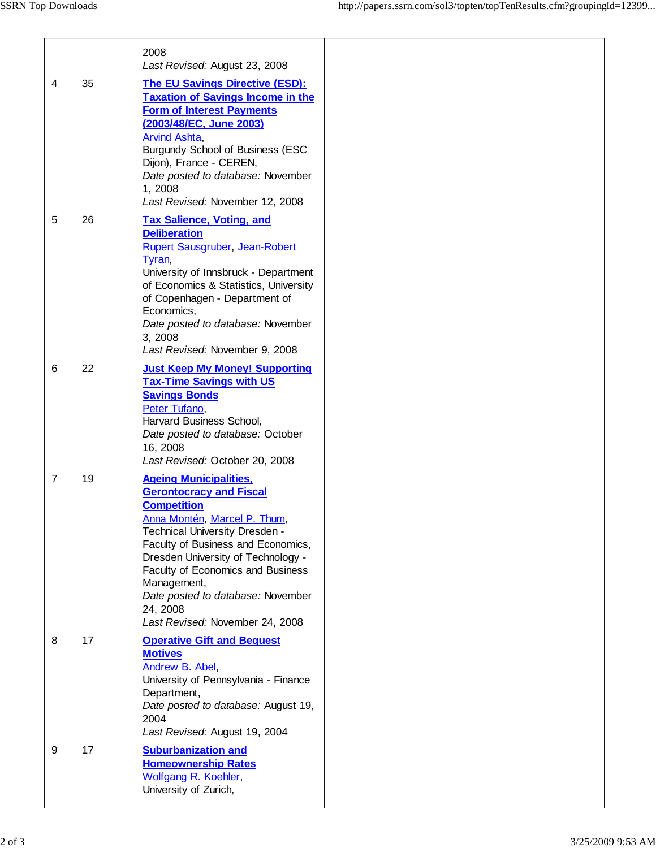|   |    | 2008<br>Last Revised: August 23, 2008                                                                                                                                                                                                                                                                                                                                       |
|---|----|-----------------------------------------------------------------------------------------------------------------------------------------------------------------------------------------------------------------------------------------------------------------------------------------------------------------------------------------------------------------------------|
| 4 | 35 | <b>The EU Savings Directive (ESD):</b><br><b>Taxation of Savings Income in the</b><br><b>Form of Interest Payments</b><br>(2003/48/EC, June 2003)<br><b>Arvind Ashta,</b><br>Burgundy School of Business (ESC<br>Dijon), France - CEREN,<br>Date posted to database: November<br>1, 2008<br>Last Revised: November 12, 2008                                                 |
| 5 | 26 | <b>Tax Salience, Voting, and</b><br><b>Deliberation</b><br>Rupert Sausgruber, Jean-Robert<br>Tyran,<br>University of Innsbruck - Department<br>of Economics & Statistics, University<br>of Copenhagen - Department of<br>Economics,<br>Date posted to database: November<br>3, 2008<br>Last Revised: November 9, 2008                                                       |
| 6 | 22 | <b>Just Keep My Money! Supporting</b><br><b>Tax-Time Savings with US</b><br><b>Savings Bonds</b><br>Peter Tufano,<br>Harvard Business School,<br>Date posted to database: October<br>16, 2008<br>Last Revised: October 20, 2008                                                                                                                                             |
| 7 | 19 | <b>Ageing Municipalities,</b><br><b>Gerontocracy and Fiscal</b><br><b>Competition</b><br>Anna Montén, Marcel P. Thum,<br>Technical University Dresden -<br>Faculty of Business and Economics,<br>Dresden University of Technology -<br>Faculty of Economics and Business<br>Management,<br>Date posted to database: November<br>24, 2008<br>Last Revised: November 24, 2008 |
| 8 | 17 | <b>Operative Gift and Bequest</b><br><b>Motives</b><br>Andrew B. Abel,<br>University of Pennsylvania - Finance<br>Department,<br>Date posted to database: August 19,<br>2004<br>Last Revised: August 19, 2004                                                                                                                                                               |
| 9 | 17 | <b>Suburbanization and</b><br><b>Homeownership Rates</b><br>Wolfgang R. Koehler,<br>University of Zurich,                                                                                                                                                                                                                                                                   |